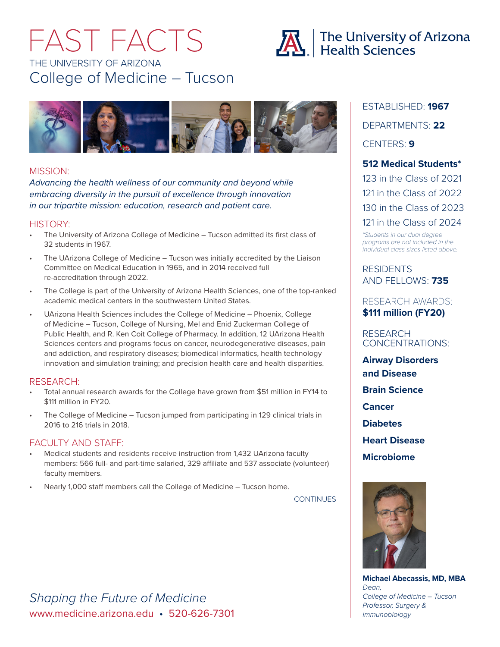# THE UNIVERSITY OF ARIZONA College of Medicine – Tucson FAST FACTS





## MISSION:

*Advancing the health wellness of our community and beyond while embracing diversity in the pursuit of excellence through innovation in our tripartite mission: education, research and patient care.*

## HISTORY:

- The University of Arizona College of Medicine Tucson admitted its first class of 32 students in 1967.
- The UArizona College of Medicine Tucson was initially accredited by the Liaison Committee on Medical Education in 1965, and in 2014 received full re-accreditation through 2022.
- The College is part of the University of Arizona Health Sciences, one of the top-ranked academic medical centers in the southwestern United States.
- UArizona Health Sciences includes the College of Medicine Phoenix, College of Medicine – Tucson, College of Nursing, Mel and Enid Zuckerman College of Public Health, and R. Ken Coit College of Pharmacy. In addition, 12 UArizona Health Sciences centers and programs focus on cancer, neurodegenerative diseases, pain and addiction, and respiratory diseases; biomedical informatics, health technology innovation and simulation training; and precision health care and health disparities.

## RESEARCH:

- Total annual research awards for the College have grown from \$51 million in FY14 to \$111 million in FY20.
- The College of Medicine Tucson jumped from participating in 129 clinical trials in 2016 to 216 trials in 2018.

## FACULTY AND STAFF:

- Medical students and residents receive instruction from 1,432 UArizona faculty members: 566 full- and part-time salaried, 329 affiliate and 537 associate (volunteer) faculty members.
- Nearly 1,000 staff members call the College of Medicine Tucson home.

**CONTINUES** 

ESTABLISHED: **1967** DEPARTMENTS: **22** CENTERS: **9 512 Medical Students\***

123 in the Class of 2021 121 in the Class of 2022 130 in the Class of 2023 121 in the Class of 2024

*\*Students in our dual degree programs are not included in the individual class sizes listed above.*

**RESIDENTS** AND FELLOWS: **735**

RESEARCH AWARDS: **\$111 million (FY20)**

RESEARCH CONCENTRATIONS:

**Airway Disorders and Disease Brain Science Cancer Diabetes Heart Disease Microbiome**



**Michael Abecassis, MD, MBA** *Dean, College of Medicine – Tucson Professor, Surgery & Immunobiology*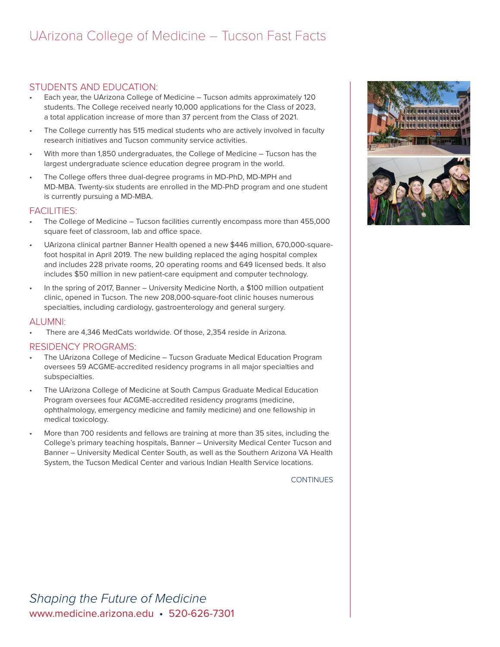## UArizona College of Medicine – Tucson Fast Facts *College of Medicine Fast Facts*

## STUDENTS AND EDUCATION:

- Each year, the UArizona College of Medicine Tucson admits approximately 120 students. The College received nearly 10,000 applications for the Class of 2023, a total application increase of more than 37 percent from the Class of 2021.
- The College currently has 515 medical students who are actively involved in faculty research initiatives and Tucson community service activities.
- With more than 1,850 undergraduates, the College of Medicine Tucson has the largest undergraduate science education degree program in the world.
- The College offers three dual-degree programs in MD-PhD, MD-MPH and MD-MBA. Twenty-six students are enrolled in the MD-PhD program and one student is currently pursuing a MD-MBA.

## FACILITIES:

- The College of Medicine Tucson facilities currently encompass more than 455,000 square feet of classroom, lab and office space.
- UArizona clinical partner Banner Health opened a new \$446 million, 670,000-squarefoot hospital in April 2019. The new building replaced the aging hospital complex and includes 228 private rooms, 20 operating rooms and 649 licensed beds. It also includes \$50 million in new patient-care equipment and computer technology.
- In the spring of 2017, Banner University Medicine North, a \$100 million outpatient clinic, opened in Tucson. The new 208,000-square-foot clinic houses numerous specialties, including cardiology, gastroenterology and general surgery.

#### ALUMNI:

• There are 4,346 MedCats worldwide. Of those, 2,354 reside in Arizona.

#### RESIDENCY PROGRAMS:

- The UArizona College of Medicine Tucson Graduate Medical Education Program oversees 59 ACGME-accredited residency programs in all major specialties and subspecialties.
- The UArizona College of Medicine at South Campus Graduate Medical Education Program oversees four ACGME-accredited residency programs (medicine, ophthalmology, emergency medicine and family medicine) and one fellowship in medical toxicology.
- More than 700 residents and fellows are training at more than 35 sites, including the College's primary teaching hospitals, Banner – University Medical Center Tucson and Banner – University Medical Center South, as well as the Southern Arizona VA Health System, the Tucson Medical Center and various Indian Health Service locations.

**CONTINUES** 



www.medicine.arizona.edu • 520-626-7301 *Shaping the Future of Medicine*